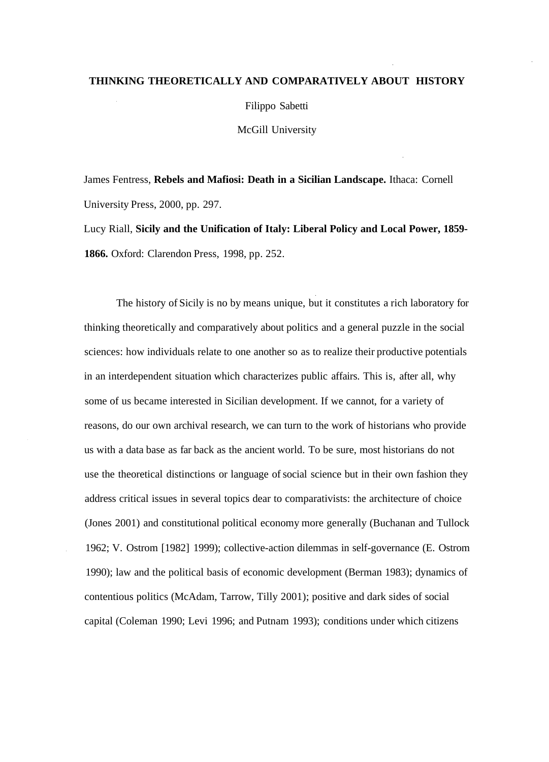## **THINKING THEORETICALLY AND COMPARATIVELY ABOUT HISTORY**

Filippo Sabetti

McGill University

James Fentress, **Rebels and Mafiosi: Death in a Sicilian Landscape.** Ithaca: Cornell University Press, 2000, pp. 297.

Lucy Riall, **Sicily and the Unification of Italy: Liberal Policy and Local Power, 1859- 1866.** Oxford: Clarendon Press, 1998, pp. 252.

The history of Sicily is no by means unique, but it constitutes a rich laboratory for thinking theoretically and comparatively about politics and a general puzzle in the social sciences: how individuals relate to one another so as to realize their productive potentials in an interdependent situation which characterizes public affairs. This is, after all, why some of us became interested in Sicilian development. If we cannot, for a variety of reasons, do our own archival research, we can turn to the work of historians who provide us with a data base as far back as the ancient world. To be sure, most historians do not use the theoretical distinctions or language of social science but in their own fashion they address critical issues in several topics dear to comparativists: the architecture of choice (Jones 2001) and constitutional political economy more generally (Buchanan and Tullock 1962; V. Ostrom [1982] 1999); collective-action dilemmas in self-governance (E. Ostrom 1990); law and the political basis of economic development (Berman 1983); dynamics of contentious politics (McAdam, Tarrow, Tilly 2001); positive and dark sides of social capital (Coleman 1990; Levi 1996; and Putnam 1993); conditions under which citizens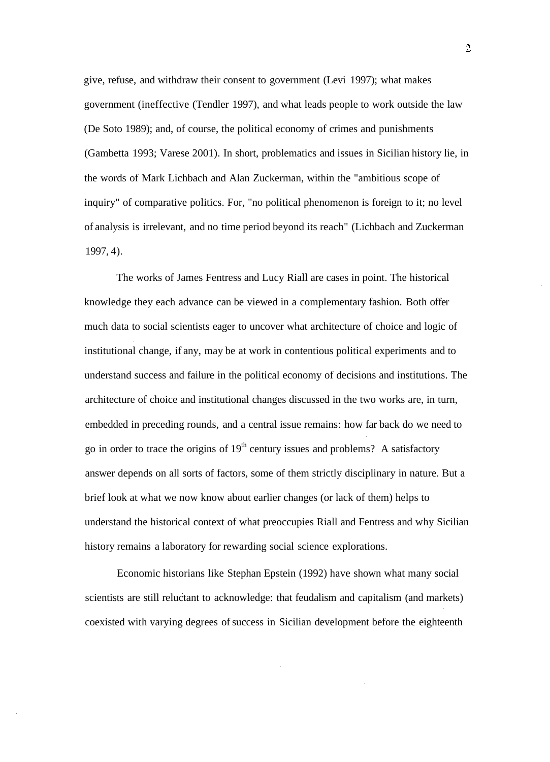give, refuse, and withdraw their consent to government (Levi 1997); what makes government (ineffective (Tendler 1997), and what leads people to work outside the law (De Soto 1989); and, of course, the political economy of crimes and punishments (Gambetta 1993; Varese 2001). In short, problematics and issues in Sicilian history lie, in the words of Mark Lichbach and Alan Zuckerman, within the "ambitious scope of inquiry" of comparative politics. For, "no political phenomenon is foreign to it; no level of analysis is irrelevant, and no time period beyond its reach" (Lichbach and Zuckerman 1997, 4).

The works of James Fentress and Lucy Riall are cases in point. The historical knowledge they each advance can be viewed in a complementary fashion. Both offer much data to social scientists eager to uncover what architecture of choice and logic of institutional change, if any, may be at work in contentious political experiments and to understand success and failure in the political economy of decisions and institutions. The architecture of choice and institutional changes discussed in the two works are, in turn, embedded in preceding rounds, and a central issue remains: how far back do we need to go in order to trace the origins of  $19<sup>th</sup>$  century issues and problems? A satisfactory answer depends on all sorts of factors, some of them strictly disciplinary in nature. But a brief look at what we now know about earlier changes (or lack of them) helps to understand the historical context of what preoccupies Riall and Fentress and why Sicilian history remains a laboratory for rewarding social science explorations.

Economic historians like Stephan Epstein (1992) have shown what many social scientists are still reluctant to acknowledge: that feudalism and capitalism (and markets) coexisted with varying degrees of success in Sicilian development before the eighteenth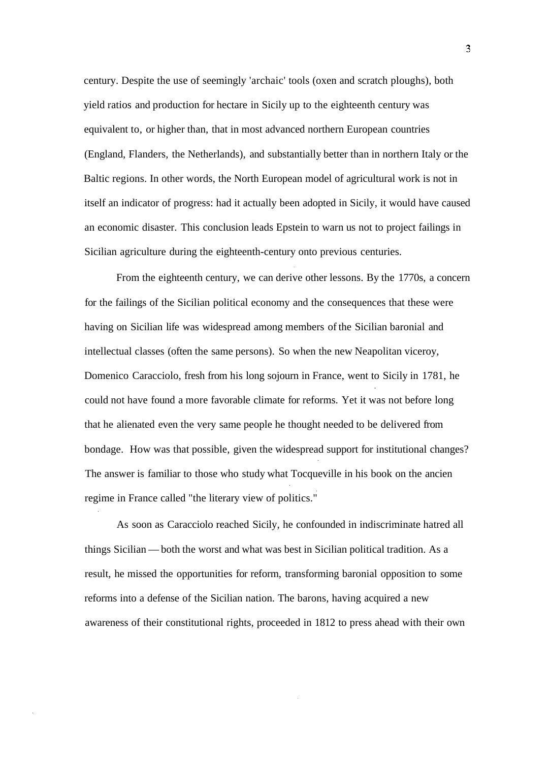century. Despite the use of seemingly 'archaic' tools (oxen and scratch ploughs), both yield ratios and production for hectare in Sicily up to the eighteenth century was equivalent to, or higher than, that in most advanced northern European countries (England, Flanders, the Netherlands), and substantially better than in northern Italy or the Baltic regions. In other words, the North European model of agricultural work is not in itself an indicator of progress: had it actually been adopted in Sicily, it would have caused an economic disaster. This conclusion leads Epstein to warn us not to project failings in Sicilian agriculture during the eighteenth-century onto previous centuries.

From the eighteenth century, we can derive other lessons. By the 1770s, a concern for the failings of the Sicilian political economy and the consequences that these were having on Sicilian life was widespread among members of the Sicilian baronial and intellectual classes (often the same persons). So when the new Neapolitan viceroy, Domenico Caracciolo, fresh from his long sojourn in France, went to Sicily in 1781, he could not have found a more favorable climate for reforms. Yet it was not before long that he alienated even the very same people he thought needed to be delivered from bondage. How was that possible, given the widespread support for institutional changes? The answer is familiar to those who study what Tocqueville in his book on the ancien regime in France called "the literary view of politics."

As soon as Caracciolo reached Sicily, he confounded in indiscriminate hatred all things Sicilian — both the worst and what was best in Sicilian political tradition. As a result, he missed the opportunities for reform, transforming baronial opposition to some reforms into a defense of the Sicilian nation. The barons, having acquired a new awareness of their constitutional rights, proceeded in 1812 to press ahead with their own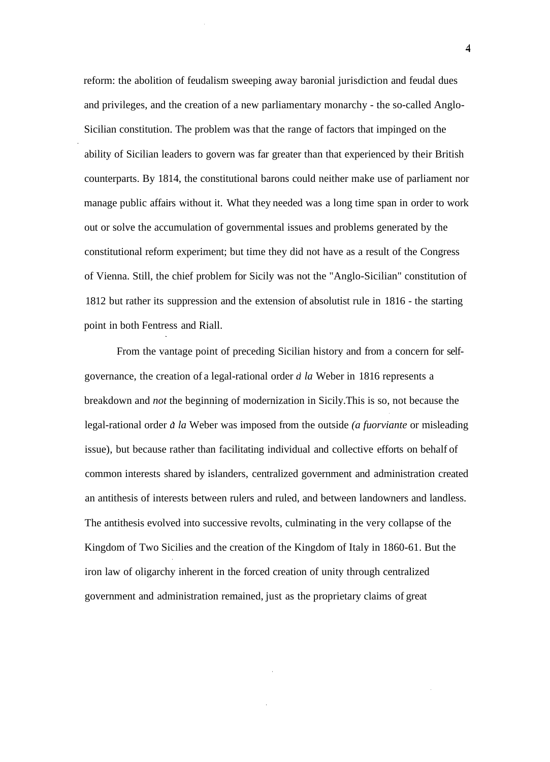reform: the abolition of feudalism sweeping away baronial jurisdiction and feudal dues and privileges, and the creation of a new parliamentary monarchy - the so-called Anglo-Sicilian constitution. The problem was that the range of factors that impinged on the ability of Sicilian leaders to govern was far greater than that experienced by their British counterparts. By 1814, the constitutional barons could neither make use of parliament nor manage public affairs without it. What they needed was a long time span in order to work out or solve the accumulation of governmental issues and problems generated by the constitutional reform experiment; but time they did not have as a result of the Congress of Vienna. Still, the chief problem for Sicily was not the "Anglo-Sicilian" constitution of 1812 but rather its suppression and the extension of absolutist rule in 1816 - the starting point in both Fentress and Riall.

From the vantage point of preceding Sicilian history and from a concern for selfgovernance, the creation of a legal-rational order *a la* Weber in 1816 represents a breakdown and *not* the beginning of modernization in Sicily.This is so, not because the legal-rational order *a la* Weber was imposed from the outside *(a fuorviante* or misleading issue), but because rather than facilitating individual and collective efforts on behalf of common interests shared by islanders, centralized government and administration created an antithesis of interests between rulers and ruled, and between landowners and landless. The antithesis evolved into successive revolts, culminating in the very collapse of the Kingdom of Two Sicilies and the creation of the Kingdom of Italy in 1860-61. But the iron law of oligarchy inherent in the forced creation of unity through centralized government and administration remained, just as the proprietary claims of great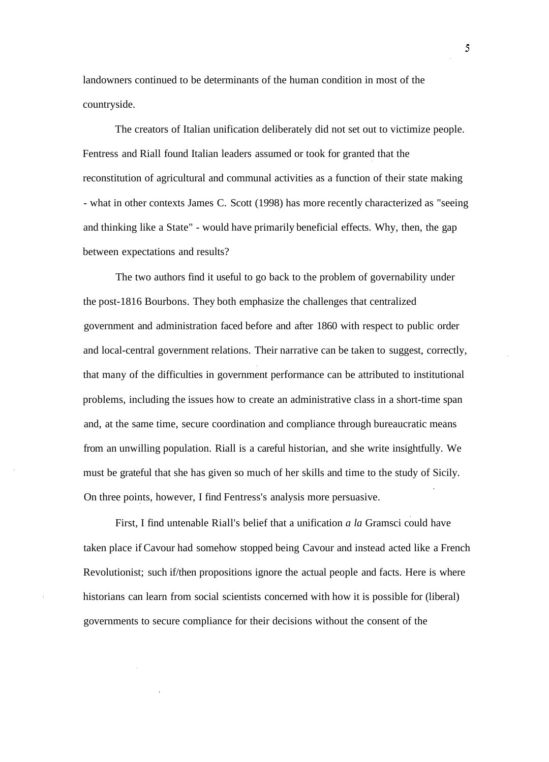landowners continued to be determinants of the human condition in most of the countryside.

The creators of Italian unification deliberately did not set out to victimize people. Fentress and Riall found Italian leaders assumed or took for granted that the reconstitution of agricultural and communal activities as a function of their state making - what in other contexts James C. Scott (1998) has more recently characterized as "seeing and thinking like a State" - would have primarily beneficial effects. Why, then, the gap between expectations and results?

The two authors find it useful to go back to the problem of governability under the post-1816 Bourbons. They both emphasize the challenges that centralized government and administration faced before and after 1860 with respect to public order and local-central government relations. Their narrative can be taken to suggest, correctly, that many of the difficulties in government performance can be attributed to institutional problems, including the issues how to create an administrative class in a short-time span and, at the same time, secure coordination and compliance through bureaucratic means from an unwilling population. Riall is a careful historian, and she write insightfully. We must be grateful that she has given so much of her skills and time to the study of Sicily. On three points, however, I find Fentress's analysis more persuasive.

First, I find untenable Riall's belief that a unification *a la* Gramsci could have taken place if Cavour had somehow stopped being Cavour and instead acted like a French Revolutionist; such if/then propositions ignore the actual people and facts. Here is where historians can learn from social scientists concerned with how it is possible for (liberal) governments to secure compliance for their decisions without the consent of the

5.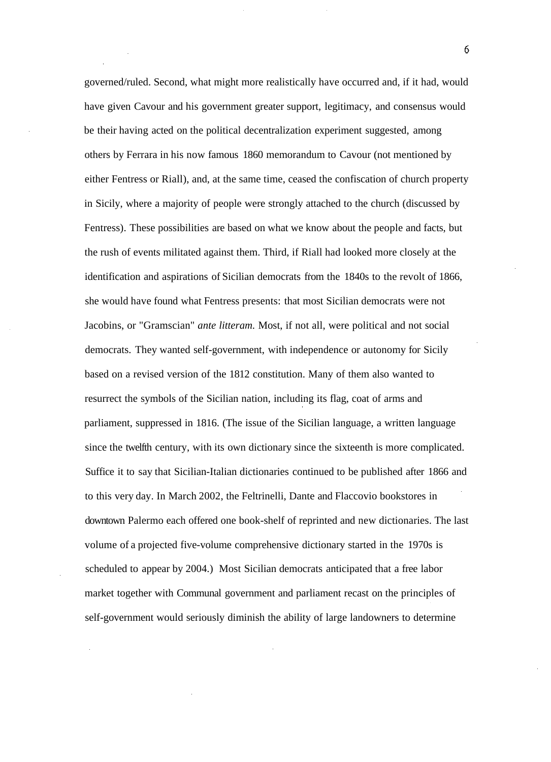governed/ruled. Second, what might more realistically have occurred and, if it had, would have given Cavour and his government greater support, legitimacy, and consensus would be their having acted on the political decentralization experiment suggested, among others by Ferrara in his now famous 1860 memorandum to Cavour (not mentioned by either Fentress or Riall), and, at the same time, ceased the confiscation of church property in Sicily, where a majority of people were strongly attached to the church (discussed by Fentress). These possibilities are based on what we know about the people and facts, but the rush of events militated against them. Third, if Riall had looked more closely at the identification and aspirations of Sicilian democrats from the 1840s to the revolt of 1866, she would have found what Fentress presents: that most Sicilian democrats were not Jacobins, or "Gramscian" *ante litteram.* Most, if not all, were political and not social democrats. They wanted self-government, with independence or autonomy for Sicily based on a revised version of the 1812 constitution. Many of them also wanted to resurrect the symbols of the Sicilian nation, including its flag, coat of arms and parliament, suppressed in 1816. (The issue of the Sicilian language, a written language since the twelfth century, with its own dictionary since the sixteenth is more complicated. Suffice it to say that Sicilian-Italian dictionaries continued to be published after 1866 and to this very day. In March 2002, the Feltrinelli, Dante and Flaccovio bookstores in downtown Palermo each offered one book-shelf of reprinted and new dictionaries. The last volume of a projected five-volume comprehensive dictionary started in the 1970s is scheduled to appear by 2004.) Most Sicilian democrats anticipated that a free labor market together with Communal government and parliament recast on the principles of self-government would seriously diminish the ability of large landowners to determine

6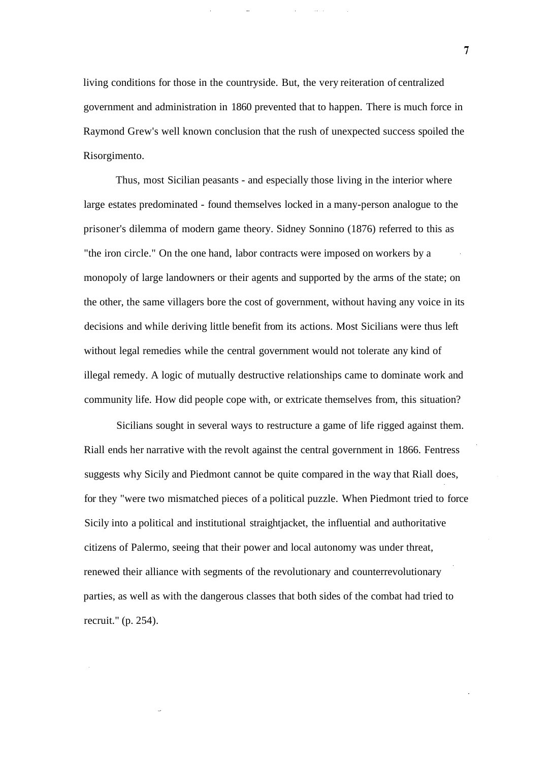living conditions for those in the countryside. But, the very reiteration of centralized government and administration in 1860 prevented that to happen. There is much force in Raymond Grew's well known conclusion that the rush of unexpected success spoiled the Risorgimento.

Thus, most Sicilian peasants - and especially those living in the interior where large estates predominated - found themselves locked in a many-person analogue to the prisoner's dilemma of modern game theory. Sidney Sonnino (1876) referred to this as "the iron circle." On the one hand, labor contracts were imposed on workers by a monopoly of large landowners or their agents and supported by the arms of the state; on the other, the same villagers bore the cost of government, without having any voice in its decisions and while deriving little benefit from its actions. Most Sicilians were thus left without legal remedies while the central government would not tolerate any kind of illegal remedy. A logic of mutually destructive relationships came to dominate work and community life. How did people cope with, or extricate themselves from, this situation?

Sicilians sought in several ways to restructure a game of life rigged against them. Riall ends her narrative with the revolt against the central government in 1866. Fentress suggests why Sicily and Piedmont cannot be quite compared in the way that Riall does, for they "were two mismatched pieces of a political puzzle. When Piedmont tried to force Sicily into a political and institutional straightjacket, the influential and authoritative citizens of Palermo, seeing that their power and local autonomy was under threat, renewed their alliance with segments of the revolutionary and counterrevolutionary parties, as well as with the dangerous classes that both sides of the combat had tried to recruit." (p. 254).

 $\overline{7}$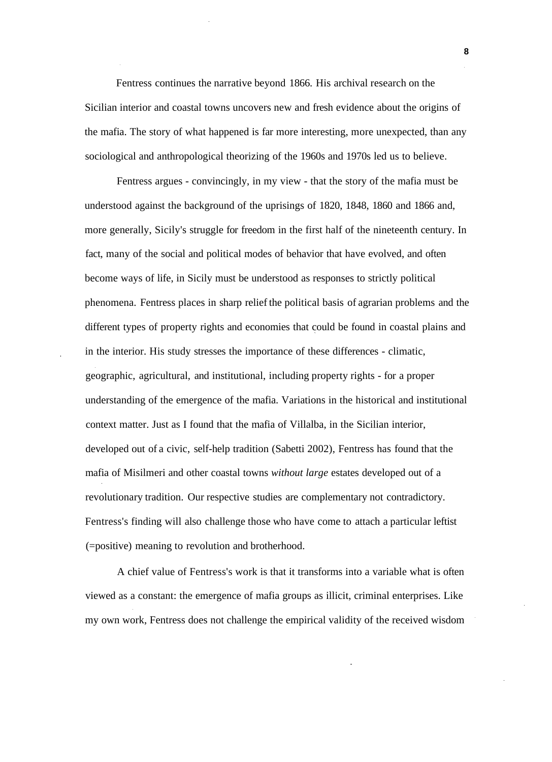Fentress continues the narrative beyond 1866. His archival research on the Sicilian interior and coastal towns uncovers new and fresh evidence about the origins of the mafia. The story of what happened is far more interesting, more unexpected, than any sociological and anthropological theorizing of the 1960s and 1970s led us to believe.

Fentress argues - convincingly, in my view - that the story of the mafia must be understood against the background of the uprisings of 1820, 1848, 1860 and 1866 and, more generally, Sicily's struggle for freedom in the first half of the nineteenth century. In fact, many of the social and political modes of behavior that have evolved, and often become ways of life, in Sicily must be understood as responses to strictly political phenomena. Fentress places in sharp relief the political basis of agrarian problems and the different types of property rights and economies that could be found in coastal plains and in the interior. His study stresses the importance of these differences - climatic, geographic, agricultural, and institutional, including property rights - for a proper understanding of the emergence of the mafia. Variations in the historical and institutional context matter. Just as I found that the mafia of Villalba, in the Sicilian interior, developed out of a civic, self-help tradition (Sabetti 2002), Fentress has found that the mafia of Misilmeri and other coastal towns *without large* estates developed out of a revolutionary tradition. Our respective studies are complementary not contradictory. Fentress's finding will also challenge those who have come to attach a particular leftist (=positive) meaning to revolution and brotherhood.

A chief value of Fentress's work is that it transforms into a variable what is often viewed as a constant: the emergence of mafia groups as illicit, criminal enterprises. Like my own work, Fentress does not challenge the empirical validity of the received wisdom

**8**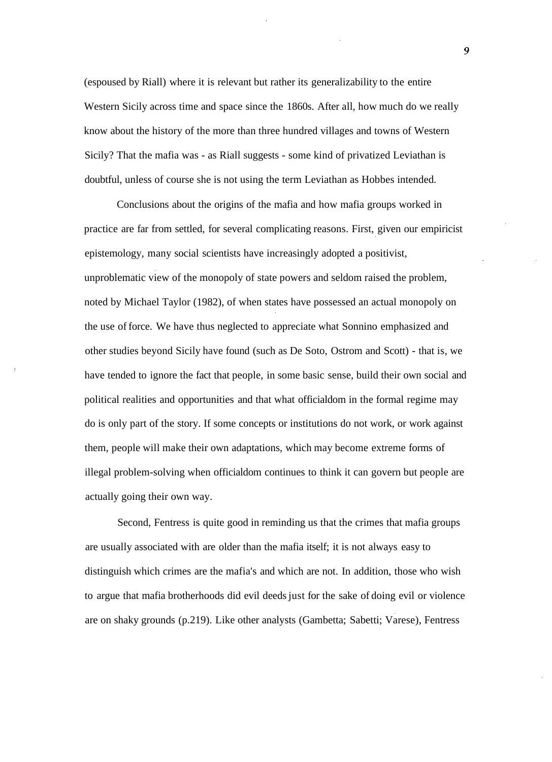(espoused by Riall) where it is relevant but rather its generalizability to the entire Western Sicily across time and space since the 1860s. After all, how much do we really know about the history of the more than three hundred villages and towns of Western Sicily? That the mafia was - as Riall suggests - some kind of privatized Leviathan is doubtful, unless of course she is not using the term Leviathan as Hobbes intended.

Conclusions about the origins of the mafia and how mafia groups worked in practice are far from settled, for several complicating reasons. First, given our empiricist epistemology, many social scientists have increasingly adopted a positivist, unproblematic view of the monopoly of state powers and seldom raised the problem, noted by Michael Taylor (1982), of when states have possessed an actual monopoly on the use of force. We have thus neglected to appreciate what Sonnino emphasized and other studies beyond Sicily have found (such as De Soto, Ostrom and Scott) - that is, we have tended to ignore the fact that people, in some basic sense, build their own social and political realities and opportunities and that what officialdom in the formal regime may do is only part of the story. If some concepts or institutions do not work, or work against them, people will make their own adaptations, which may become extreme forms of illegal problem-solving when officialdom continues to think it can govern but people are actually going their own way.

Second, Fentress is quite good in reminding us that the crimes that mafia groups are usually associated with are older than the mafia itself; it is not always easy to distinguish which crimes are the mafia's and which are not. In addition, those who wish to argue that mafia brotherhoods did evil deeds just for the sake of doing evil or violence are on shaky grounds (p.219). Like other analysts (Gambetta; Sabetti; Varese), Fentress

 $\overline{9}$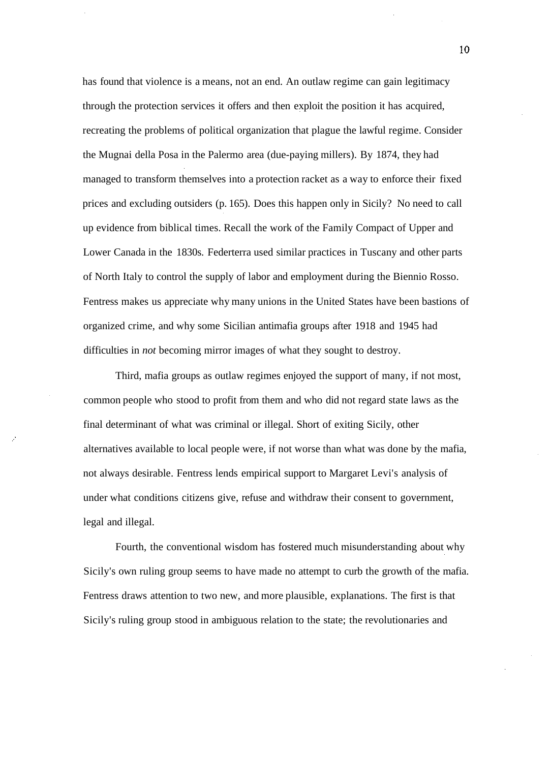has found that violence is a means, not an end. An outlaw regime can gain legitimacy through the protection services it offers and then exploit the position it has acquired, recreating the problems of political organization that plague the lawful regime. Consider the Mugnai della Posa in the Palermo area (due-paying millers). By 1874, they had managed to transform themselves into a protection racket as a way to enforce their fixed prices and excluding outsiders (p. 165). Does this happen only in Sicily? No need to call up evidence from biblical times. Recall the work of the Family Compact of Upper and Lower Canada in the 1830s. Federterra used similar practices in Tuscany and other parts of North Italy to control the supply of labor and employment during the Biennio Rosso. Fentress makes us appreciate why many unions in the United States have been bastions of organized crime, and why some Sicilian antimafia groups after 1918 and 1945 had difficulties in *not* becoming mirror images of what they sought to destroy.

Third, mafia groups as outlaw regimes enjoyed the support of many, if not most, common people who stood to profit from them and who did not regard state laws as the final determinant of what was criminal or illegal. Short of exiting Sicily, other alternatives available to local people were, if not worse than what was done by the mafia, not always desirable. Fentress lends empirical support to Margaret Levi's analysis of under what conditions citizens give, refuse and withdraw their consent to government, legal and illegal.

Fourth, the conventional wisdom has fostered much misunderstanding about why Sicily's own ruling group seems to have made no attempt to curb the growth of the mafia. Fentress draws attention to two new, and more plausible, explanations. The first is that Sicily's ruling group stood in ambiguous relation to the state; the revolutionaries and

10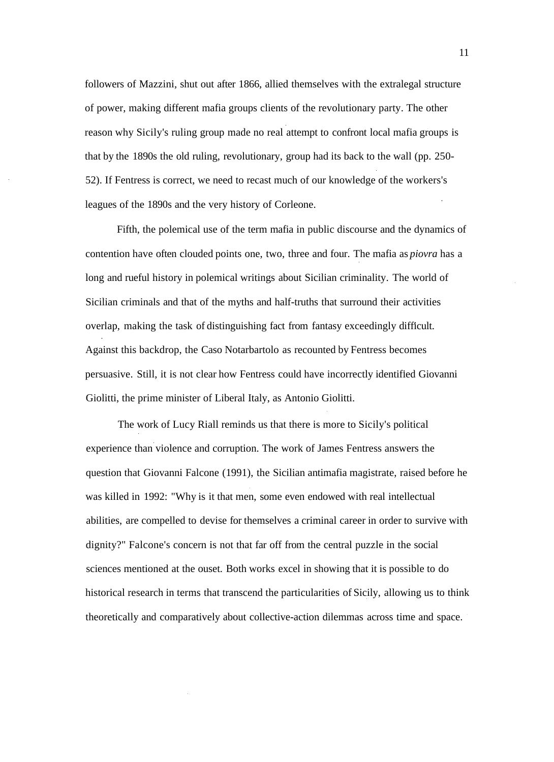followers of Mazzini, shut out after 1866, allied themselves with the extralegal structure of power, making different mafia groups clients of the revolutionary party. The other reason why Sicily's ruling group made no real attempt to confront local mafia groups is that by the 1890s the old ruling, revolutionary, group had its back to the wall (pp. 250- 52). If Fentress is correct, we need to recast much of our knowledge of the workers's leagues of the 1890s and the very history of Corleone.

Fifth, the polemical use of the term mafia in public discourse and the dynamics of contention have often clouded points one, two, three and four. The mafia as *piovra* has a long and rueful history in polemical writings about Sicilian criminality. The world of Sicilian criminals and that of the myths and half-truths that surround their activities overlap, making the task of distinguishing fact from fantasy exceedingly difficult. Against this backdrop, the Caso Notarbartolo as recounted by Fentress becomes persuasive. Still, it is not clear how Fentress could have incorrectly identified Giovanni Giolitti, the prime minister of Liberal Italy, as Antonio Giolitti.

The work of Lucy Riall reminds us that there is more to Sicily's political experience than violence and corruption. The work of James Fentress answers the question that Giovanni Falcone (1991), the Sicilian antimafia magistrate, raised before he was killed in 1992: "Why is it that men, some even endowed with real intellectual abilities, are compelled to devise for themselves a criminal career in order to survive with dignity?" Falcone's concern is not that far off from the central puzzle in the social sciences mentioned at the ouset. Both works excel in showing that it is possible to do historical research in terms that transcend the particularities of Sicily, allowing us to think theoretically and comparatively about collective-action dilemmas across time and space.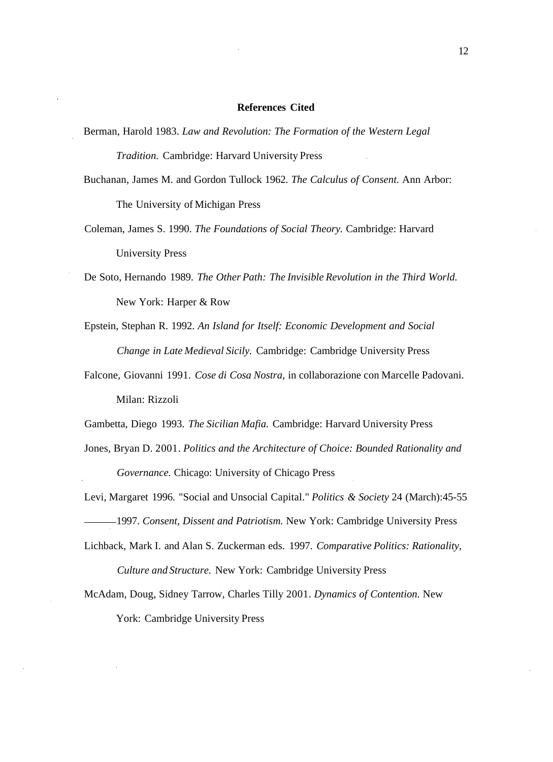## **References Cited**

- Berman, Harold 1983. *Law and Revolution: The Formation of the Western Legal Tradition.* Cambridge: Harvard University Press
- Buchanan, James M. and Gordon Tullock 1962. *The Calculus of Consent.* Ann Arbor: The University of Michigan Press
- Coleman, James S. 1990. *The Foundations of Social Theory.* Cambridge: Harvard University Press
- De Soto, Hernando 1989. *The Other Path: The Invisible Revolution in the Third World.* New York: Harper & Row
- Epstein, Stephan R. 1992. *An Island for Itself: Economic Development and Social Change in Late Medieval Sicily.* Cambridge: Cambridge University Press
- Falcone, Giovanni 1991. *Cose di Cosa Nostra,* in collaborazione con Marcelle Padovani. Milan: Rizzoli
- Gambetta, Diego 1993. *The Sicilian Mafia.* Cambridge: Harvard University Press
- Jones, Bryan D. 2001. *Politics and the Architecture of Choice: Bounded Rationality and Governance.* Chicago: University of Chicago Press
- Levi, Margaret 1996. "Social and Unsocial Capital." *Politics & Society* 24 (March):45-55 1997. *Consent, Dissent and Patriotism.* New York: Cambridge University Press
- Lichback, Mark I. and Alan S. Zuckerman eds. 1997. *Comparative Politics: Rationality, Culture and Structure.* New York: Cambridge University Press
- McAdam, Doug, Sidney Tarrow, Charles Tilly 2001. *Dynamics of Contention.* New York: Cambridge University Press